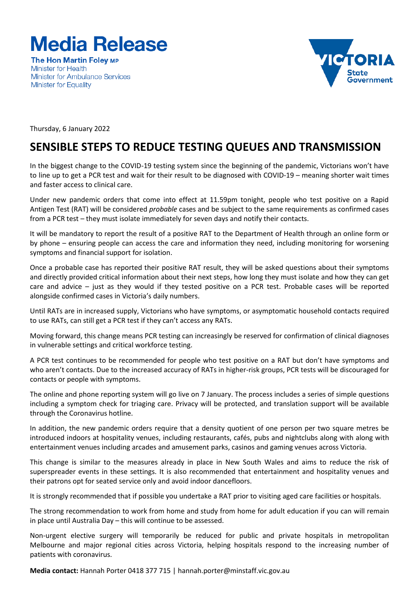

**The Hon Martin Folev MP Minister for Health Minister for Ambulance Services Minister for Equality** 



Thursday, 6 January 2022

## **SENSIBLE STEPS TO REDUCE TESTING QUEUES AND TRANSMISSION**

In the biggest change to the COVID-19 testing system since the beginning of the pandemic, Victorians won't have to line up to get a PCR test and wait for their result to be diagnosed with COVID-19 – meaning shorter wait times and faster access to clinical care.

Under new pandemic orders that come into effect at 11.59pm tonight, people who test positive on a Rapid Antigen Test (RAT) will be considered *probable* cases and be subject to the same requirements as confirmed cases from a PCR test – they must isolate immediately for seven days and notify their contacts.

It will be mandatory to report the result of a positive RAT to the Department of Health through an online form or by phone – ensuring people can access the care and information they need, including monitoring for worsening symptoms and financial support for isolation.

Once a probable case has reported their positive RAT result, they will be asked questions about their symptoms and directly provided critical information about their next steps, how long they must isolate and how they can get care and advice – just as they would if they tested positive on a PCR test. Probable cases will be reported alongside confirmed cases in Victoria's daily numbers.

Until RATs are in increased supply, Victorians who have symptoms, or asymptomatic household contacts required to use RATs, can still get a PCR test if they can't access any RATs.

Moving forward, this change means PCR testing can increasingly be reserved for confirmation of clinical diagnoses in vulnerable settings and critical workforce testing.

A PCR test continues to be recommended for people who test positive on a RAT but don't have symptoms and who aren't contacts. Due to the increased accuracy of RATs in higher-risk groups, PCR tests will be discouraged for contacts or people with symptoms.

The online and phone reporting system will go live on 7 January. The process includes a series of simple questions including a symptom check for triaging care. Privacy will be protected, and translation support will be available through the Coronavirus hotline.

In addition, the new pandemic orders require that a density quotient of one person per two square metres be introduced indoors at hospitality venues, including restaurants, cafés, pubs and nightclubs along with along with entertainment venues including arcades and amusement parks, casinos and gaming venues across Victoria.

This change is similar to the measures already in place in New South Wales and aims to reduce the risk of superspreader events in these settings. It is also recommended that entertainment and hospitality venues and their patrons opt for seated service only and avoid indoor dancefloors.

It is strongly recommended that if possible you undertake a RAT prior to visiting aged care facilities or hospitals.

The strong recommendation to work from home and study from home for adult education if you can will remain in place until Australia Day – this will continue to be assessed.

Non-urgent elective surgery will temporarily be reduced for public and private hospitals in metropolitan Melbourne and major regional cities across Victoria, helping hospitals respond to the increasing number of patients with coronavirus.

**Media contact:** Hannah Porter 0418 377 715 | hannah.porter@minstaff.vic.gov.au